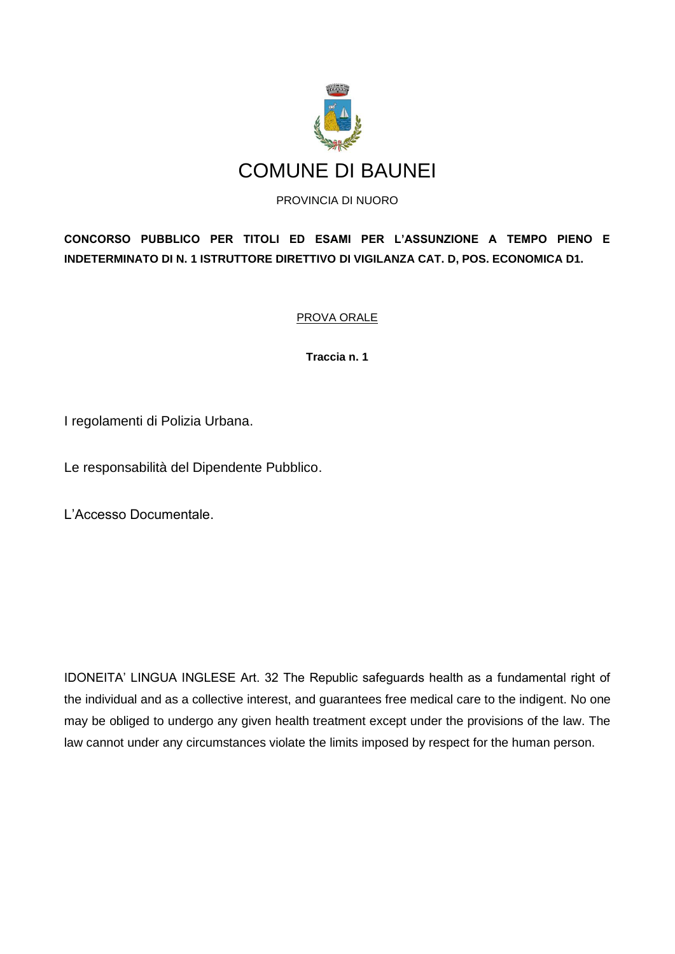

**CONCORSO PUBBLICO PER TITOLI ED ESAMI PER L'ASSUNZIONE A TEMPO PIENO E INDETERMINATO DI N. 1 ISTRUTTORE DIRETTIVO DI VIGILANZA CAT. D, POS. ECONOMICA D1.**

PROVA ORALE

**Traccia n. 1**

I regolamenti di Polizia Urbana.

Le responsabilità del Dipendente Pubblico.

L'Accesso Documentale.

IDONEITA' LINGUA INGLESE Art. 32 The Republic safeguards health as a fundamental right of the individual and as a collective interest, and guarantees free medical care to the indigent. No one may be obliged to undergo any given health treatment except under the provisions of the law. The law cannot under any circumstances violate the limits imposed by respect for the human person.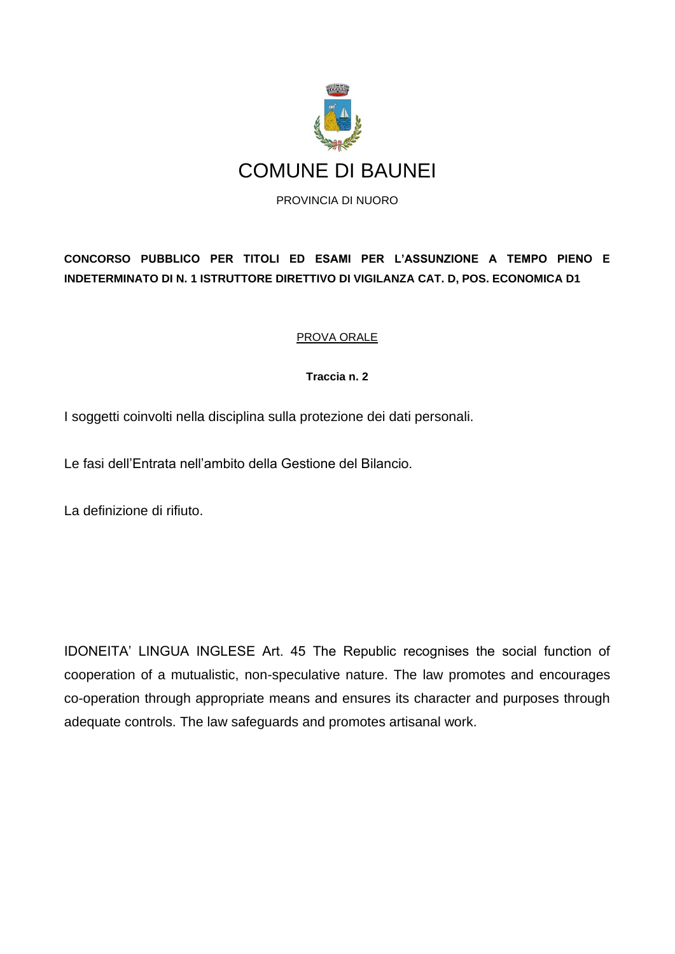

**CONCORSO PUBBLICO PER TITOLI ED ESAMI PER L'ASSUNZIONE A TEMPO PIENO E INDETERMINATO DI N. 1 ISTRUTTORE DIRETTIVO DI VIGILANZA CAT. D, POS. ECONOMICA D1** 

# PROVA ORALE

### **Traccia n. 2**

I soggetti coinvolti nella disciplina sulla protezione dei dati personali.

Le fasi dell'Entrata nell'ambito della Gestione del Bilancio.

La definizione di rifiuto.

IDONEITA' LINGUA INGLESE Art. 45 The Republic recognises the social function of cooperation of a mutualistic, non-speculative nature. The law promotes and encourages co-operation through appropriate means and ensures its character and purposes through adequate controls. The law safeguards and promotes artisanal work.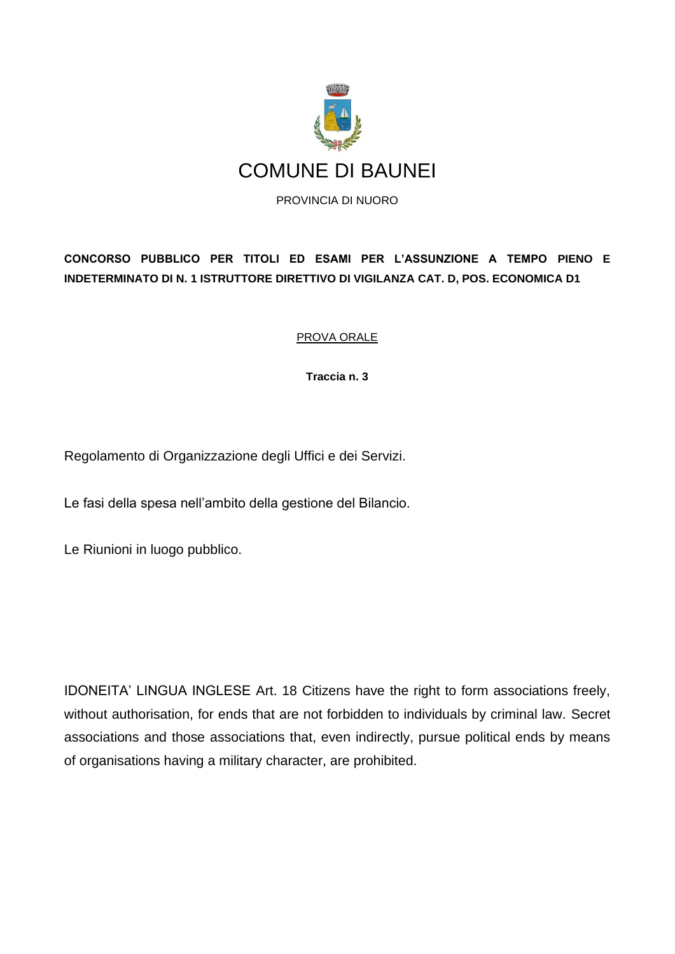

**CONCORSO PUBBLICO PER TITOLI ED ESAMI PER L'ASSUNZIONE A TEMPO PIENO E INDETERMINATO DI N. 1 ISTRUTTORE DIRETTIVO DI VIGILANZA CAT. D, POS. ECONOMICA D1** 

# PROVA ORALE

**Traccia n. 3**

Regolamento di Organizzazione degli Uffici e dei Servizi.

Le fasi della spesa nell'ambito della gestione del Bilancio.

Le Riunioni in luogo pubblico.

IDONEITA' LINGUA INGLESE Art. 18 Citizens have the right to form associations freely, without authorisation, for ends that are not forbidden to individuals by criminal law. Secret associations and those associations that, even indirectly, pursue political ends by means of organisations having a military character, are prohibited.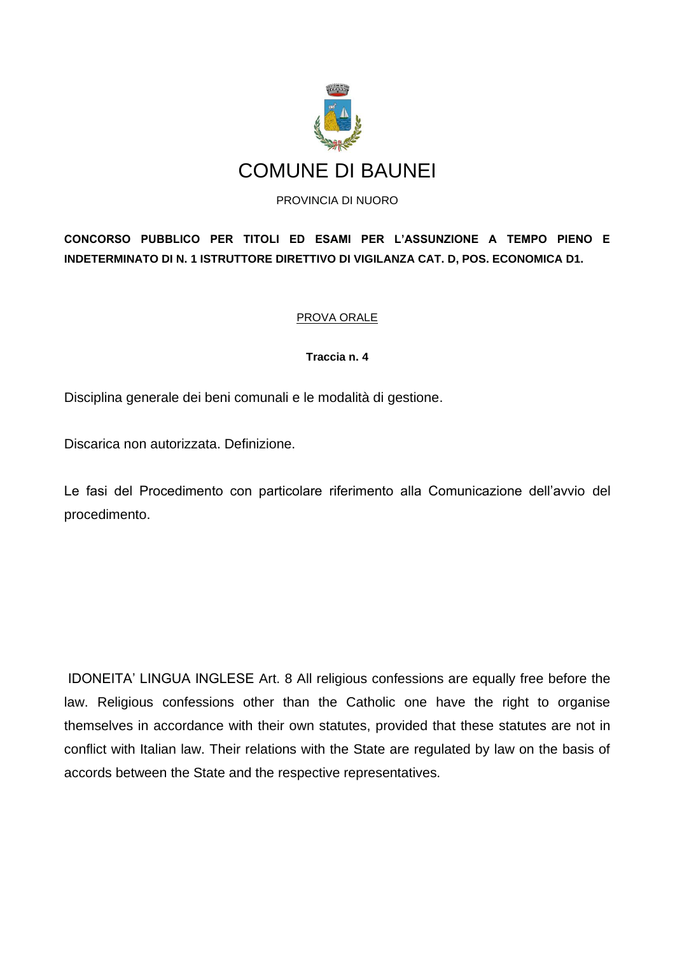

**CONCORSO PUBBLICO PER TITOLI ED ESAMI PER L'ASSUNZIONE A TEMPO PIENO E INDETERMINATO DI N. 1 ISTRUTTORE DIRETTIVO DI VIGILANZA CAT. D, POS. ECONOMICA D1.**

### PROVA ORALE

### **Traccia n. 4**

Disciplina generale dei beni comunali e le modalità di gestione.

Discarica non autorizzata. Definizione.

Le fasi del Procedimento con particolare riferimento alla Comunicazione dell'avvio del procedimento.

IDONEITA' LINGUA INGLESE Art. 8 All religious confessions are equally free before the law. Religious confessions other than the Catholic one have the right to organise themselves in accordance with their own statutes, provided that these statutes are not in conflict with Italian law. Their relations with the State are regulated by law on the basis of accords between the State and the respective representatives.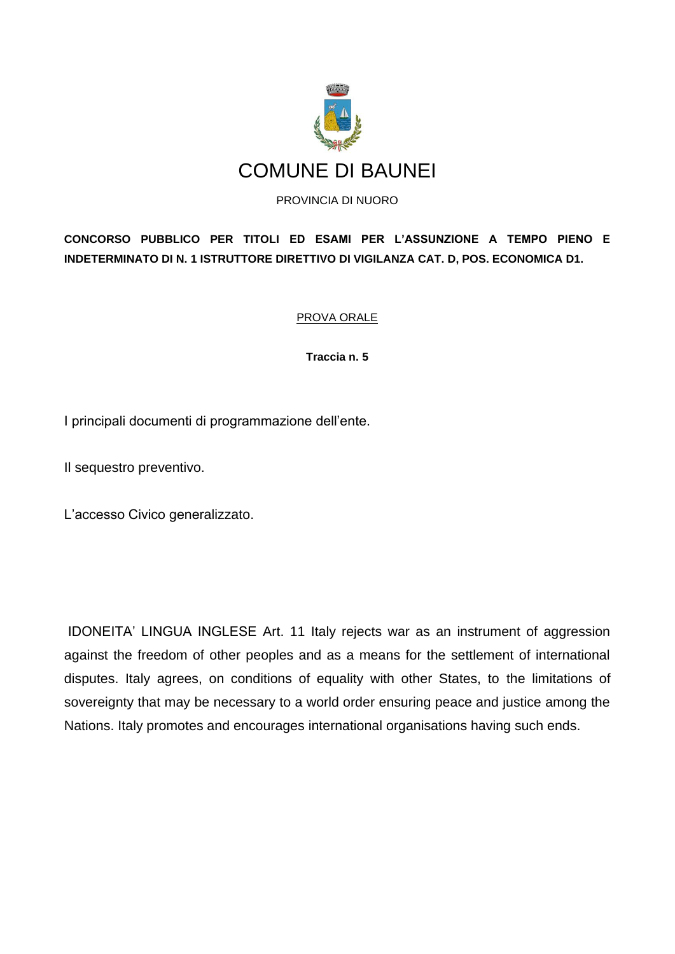

**CONCORSO PUBBLICO PER TITOLI ED ESAMI PER L'ASSUNZIONE A TEMPO PIENO E INDETERMINATO DI N. 1 ISTRUTTORE DIRETTIVO DI VIGILANZA CAT. D, POS. ECONOMICA D1.**

### PROVA ORALE

**Traccia n. 5**

I principali documenti di programmazione dell'ente.

Il sequestro preventivo.

L'accesso Civico generalizzato.

IDONEITA' LINGUA INGLESE Art. 11 Italy rejects war as an instrument of aggression against the freedom of other peoples and as a means for the settlement of international disputes. Italy agrees, on conditions of equality with other States, to the limitations of sovereignty that may be necessary to a world order ensuring peace and justice among the Nations. Italy promotes and encourages international organisations having such ends.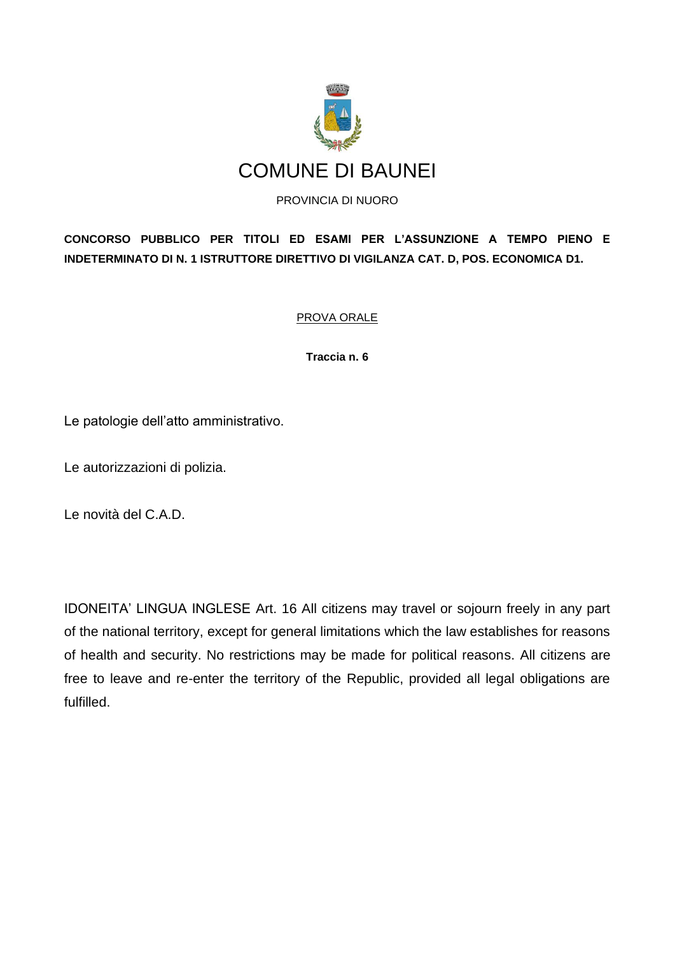

**CONCORSO PUBBLICO PER TITOLI ED ESAMI PER L'ASSUNZIONE A TEMPO PIENO E INDETERMINATO DI N. 1 ISTRUTTORE DIRETTIVO DI VIGILANZA CAT. D, POS. ECONOMICA D1.**

PROVA ORALE

**Traccia n. 6**

Le patologie dell'atto amministrativo.

Le autorizzazioni di polizia.

Le novità del C.A.D.

IDONEITA' LINGUA INGLESE Art. 16 All citizens may travel or sojourn freely in any part of the national territory, except for general limitations which the law establishes for reasons of health and security. No restrictions may be made for political reasons. All citizens are free to leave and re-enter the territory of the Republic, provided all legal obligations are fulfilled.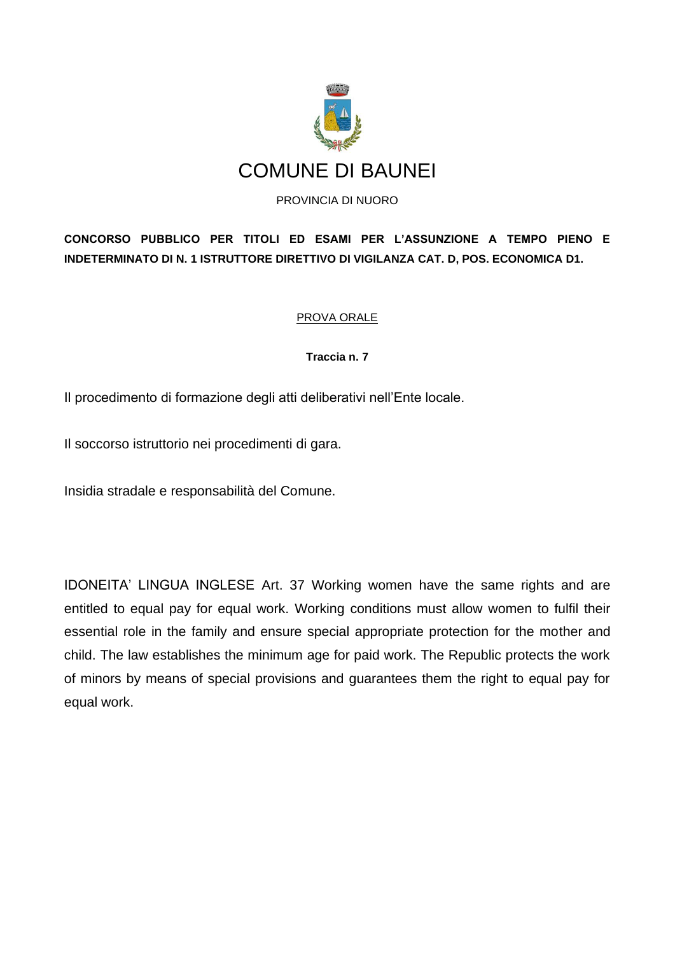

**CONCORSO PUBBLICO PER TITOLI ED ESAMI PER L'ASSUNZIONE A TEMPO PIENO E INDETERMINATO DI N. 1 ISTRUTTORE DIRETTIVO DI VIGILANZA CAT. D, POS. ECONOMICA D1.**

# PROVA ORALE

**Traccia n. 7**

Il procedimento di formazione degli atti deliberativi nell'Ente locale.

Il soccorso istruttorio nei procedimenti di gara.

Insidia stradale e responsabilità del Comune.

IDONEITA' LINGUA INGLESE Art. 37 Working women have the same rights and are entitled to equal pay for equal work. Working conditions must allow women to fulfil their essential role in the family and ensure special appropriate protection for the mother and child. The law establishes the minimum age for paid work. The Republic protects the work of minors by means of special provisions and guarantees them the right to equal pay for equal work.